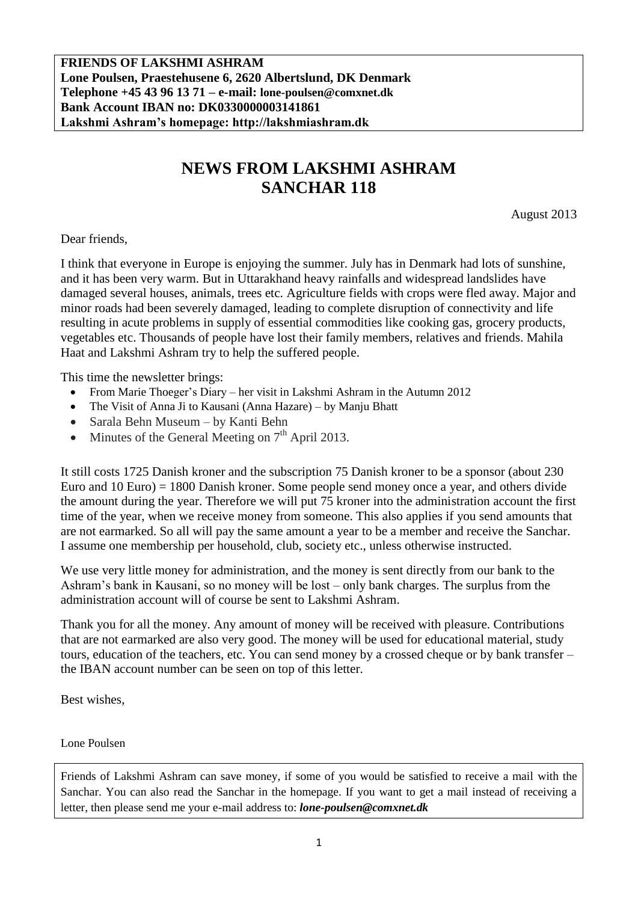**FRIENDS OF LAKSHMI ASHRAM Lone Poulsen, Praestehusene 6, 2620 Albertslund, DK Denmark Telephone +45 43 96 13 71 – e-mail: lone-poulsen@comxnet.dk Bank Account IBAN no: DK0330000003141861 Lakshmi Ashram's homepage: http://lakshmiashram.dk**

# **NEWS FROM LAKSHMI ASHRAM SANCHAR 118**

August 2013

Dear friends,

I think that everyone in Europe is enjoying the summer. July has in Denmark had lots of sunshine, and it has been very warm. But in Uttarakhand heavy rainfalls and widespread landslides have damaged several houses, animals, trees etc. Agriculture fields with crops were fled away. Major and minor roads had been severely damaged, leading to complete disruption of connectivity and life resulting in acute problems in supply of essential commodities like cooking gas, grocery products, vegetables etc. Thousands of people have lost their family members, relatives and friends. Mahila Haat and Lakshmi Ashram try to help the suffered people.

This time the newsletter brings:

- From Marie Thoeger's Diary her visit in Lakshmi Ashram in the Autumn 2012
- The Visit of Anna Ji to Kausani (Anna Hazare) by Manju Bhatt
- Sarala Behn Museum by Kanti Behn
- Minutes of the General Meeting on  $7<sup>th</sup>$  April 2013.

It still costs 1725 Danish kroner and the subscription 75 Danish kroner to be a sponsor (about 230 Euro and 10 Euro) = 1800 Danish kroner. Some people send money once a year, and others divide the amount during the year. Therefore we will put 75 kroner into the administration account the first time of the year, when we receive money from someone. This also applies if you send amounts that are not earmarked. So all will pay the same amount a year to be a member and receive the Sanchar. I assume one membership per household, club, society etc., unless otherwise instructed.

We use very little money for administration, and the money is sent directly from our bank to the Ashram's bank in Kausani, so no money will be lost – only bank charges. The surplus from the administration account will of course be sent to Lakshmi Ashram.

Thank you for all the money. Any amount of money will be received with pleasure. Contributions that are not earmarked are also very good. The money will be used for educational material, study tours, education of the teachers, etc. You can send money by a crossed cheque or by bank transfer – the IBAN account number can be seen on top of this letter.

Best wishes,

Lone Poulsen

Friends of Lakshmi Ashram can save money, if some of you would be satisfied to receive a mail with the Sanchar. You can also read the Sanchar in the homepage. If you want to get a mail instead of receiving a letter, then please send me your e-mail address to: *lone-poulsen@comxnet.dk*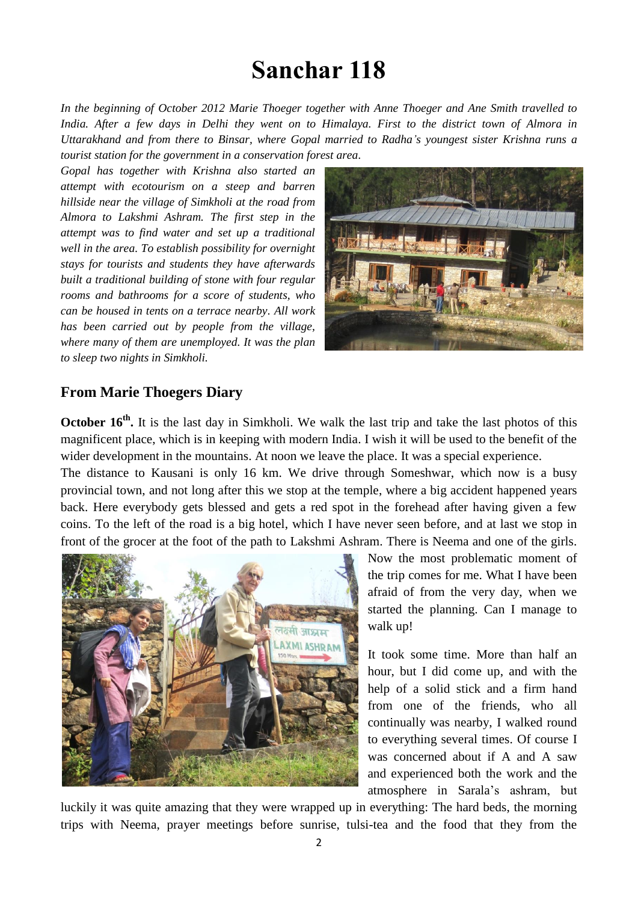# **Sanchar 118**

*In the beginning of October 2012 Marie Thoeger together with Anne Thoeger and Ane Smith travelled to India. After a few days in Delhi they went on to Himalaya. First to the district town of Almora in Uttarakhand and from there to Binsar, where Gopal married to Radha's youngest sister Krishna runs a tourist station for the government in a conservation forest area.*

*Gopal has together with Krishna also started an attempt with ecotourism on a steep and barren hillside near the village of Simkholi at the road from Almora to Lakshmi Ashram. The first step in the attempt was to find water and set up a traditional well in the area. To establish possibility for overnight stays for tourists and students they have afterwards built a traditional building of stone with four regular rooms and bathrooms for a score of students, who can be housed in tents on a terrace nearby. All work has been carried out by people from the village, where many of them are unemployed. It was the plan to sleep two nights in Simkholi.* 



### **From Marie Thoegers Diary**

**October 16<sup>th</sup>**. It is the last day in Simkholi. We walk the last trip and take the last photos of this magnificent place, which is in keeping with modern India. I wish it will be used to the benefit of the wider development in the mountains. At noon we leave the place. It was a special experience.

The distance to Kausani is only 16 km. We drive through Someshwar, which now is a busy provincial town, and not long after this we stop at the temple, where a big accident happened years back. Here everybody gets blessed and gets a red spot in the forehead after having given a few coins. To the left of the road is a big hotel, which I have never seen before, and at last we stop in front of the grocer at the foot of the path to Lakshmi Ashram. There is Neema and one of the girls.



Now the most problematic moment of the trip comes for me. What I have been afraid of from the very day, when we started the planning. Can I manage to walk up!

It took some time. More than half an hour, but I did come up, and with the help of a solid stick and a firm hand from one of the friends, who all continually was nearby, I walked round to everything several times. Of course I was concerned about if A and A saw and experienced both the work and the atmosphere in Sarala's ashram, but

luckily it was quite amazing that they were wrapped up in everything: The hard beds, the morning trips with Neema, prayer meetings before sunrise, tulsi-tea and the food that they from the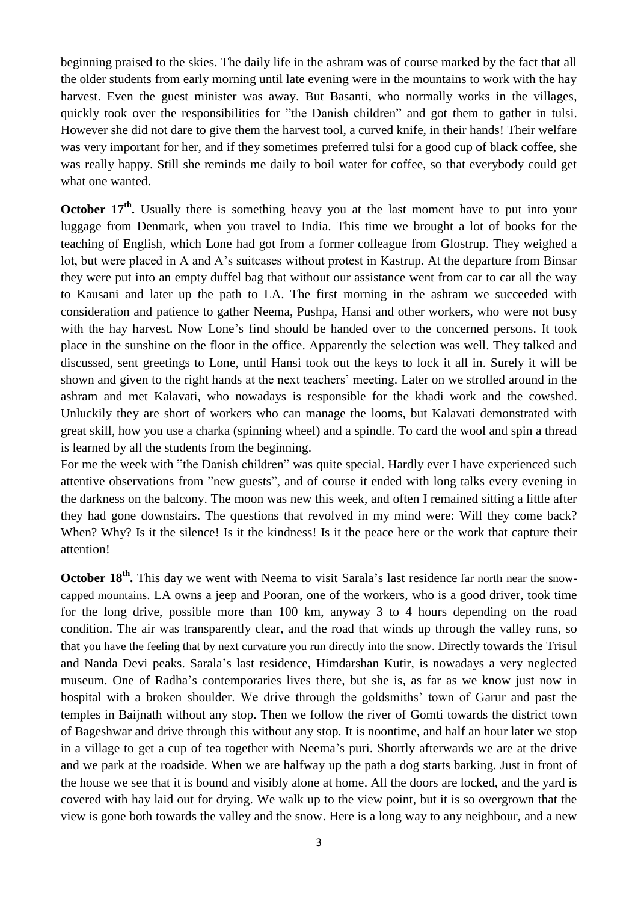beginning praised to the skies. The daily life in the ashram was of course marked by the fact that all the older students from early morning until late evening were in the mountains to work with the hay harvest. Even the guest minister was away. But Basanti, who normally works in the villages, quickly took over the responsibilities for "the Danish children" and got them to gather in tulsi. However she did not dare to give them the harvest tool, a curved knife, in their hands! Their welfare was very important for her, and if they sometimes preferred tulsi for a good cup of black coffee, she was really happy. Still she reminds me daily to boil water for coffee, so that everybody could get what one wanted.

**October 17<sup>th</sup>**. Usually there is something heavy you at the last moment have to put into your luggage from Denmark, when you travel to India. This time we brought a lot of books for the teaching of English, which Lone had got from a former colleague from Glostrup. They weighed a lot, but were placed in A and A's suitcases without protest in Kastrup. At the departure from Binsar they were put into an empty duffel bag that without our assistance went from car to car all the way to Kausani and later up the path to LA. The first morning in the ashram we succeeded with consideration and patience to gather Neema, Pushpa, Hansi and other workers, who were not busy with the hay harvest. Now Lone's find should be handed over to the concerned persons. It took place in the sunshine on the floor in the office. Apparently the selection was well. They talked and discussed, sent greetings to Lone, until Hansi took out the keys to lock it all in. Surely it will be shown and given to the right hands at the next teachers' meeting. Later on we strolled around in the ashram and met Kalavati, who nowadays is responsible for the khadi work and the cowshed. Unluckily they are short of workers who can manage the looms, but Kalavati demonstrated with great skill, how you use a charka (spinning wheel) and a spindle. To card the wool and spin a thread is learned by all the students from the beginning.

For me the week with "the Danish children" was quite special. Hardly ever I have experienced such attentive observations from "new guests", and of course it ended with long talks every evening in the darkness on the balcony. The moon was new this week, and often I remained sitting a little after they had gone downstairs. The questions that revolved in my mind were: Will they come back? When? Why? Is it the silence! Is it the kindness! Is it the peace here or the work that capture their attention!

**October 18<sup>th</sup>**. This day we went with Neema to visit Sarala's last residence far north near the snowcapped mountains. LA owns a jeep and Pooran, one of the workers, who is a good driver, took time for the long drive, possible more than 100 km, anyway 3 to 4 hours depending on the road condition. The air was transparently clear, and the road that winds up through the valley runs, so that you have the feeling that by next curvature you run directly into the snow. Directly towards the Trisul and Nanda Devi peaks. Sarala's last residence, Himdarshan Kutir, is nowadays a very neglected museum. One of Radha's contemporaries lives there, but she is, as far as we know just now in hospital with a broken shoulder. We drive through the goldsmiths' town of Garur and past the temples in Baijnath without any stop. Then we follow the river of Gomti towards the district town of Bageshwar and drive through this without any stop. It is noontime, and half an hour later we stop in a village to get a cup of tea together with Neema's puri. Shortly afterwards we are at the drive and we park at the roadside. When we are halfway up the path a dog starts barking. Just in front of the house we see that it is bound and visibly alone at home. All the doors are locked, and the yard is covered with hay laid out for drying. We walk up to the view point, but it is so overgrown that the view is gone both towards the valley and the snow. Here is a long way to any neighbour, and a new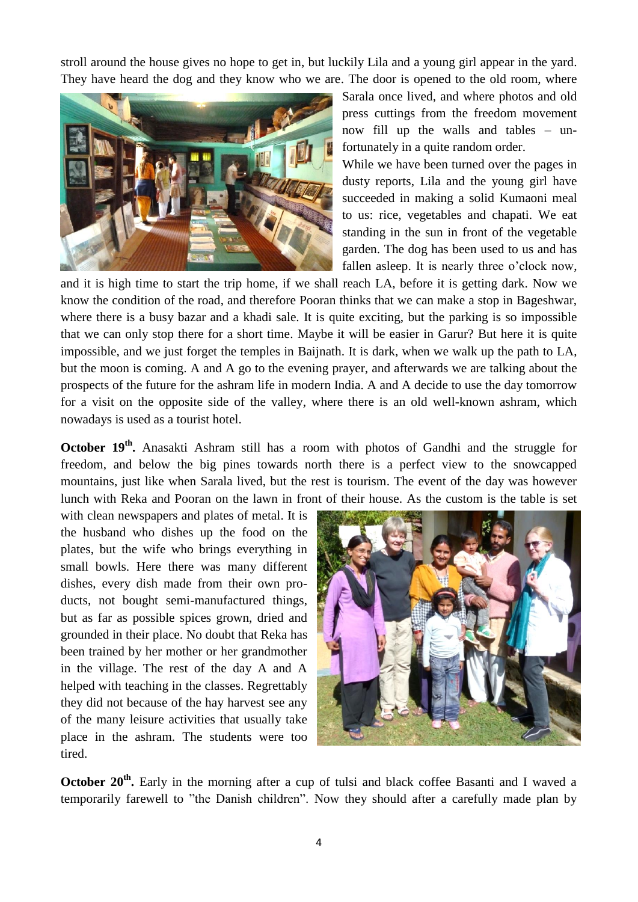stroll around the house gives no hope to get in, but luckily Lila and a young girl appear in the yard. They have heard the dog and they know who we are. The door is opened to the old room, where



Sarala once lived, and where photos and old press cuttings from the freedom movement now fill up the walls and tables – unfortunately in a quite random order.

While we have been turned over the pages in dusty reports, Lila and the young girl have succeeded in making a solid Kumaoni meal to us: rice, vegetables and chapati. We eat standing in the sun in front of the vegetable garden. The dog has been used to us and has fallen asleep. It is nearly three o'clock now,

and it is high time to start the trip home, if we shall reach LA, before it is getting dark. Now we know the condition of the road, and therefore Pooran thinks that we can make a stop in Bageshwar, where there is a busy bazar and a khadi sale. It is quite exciting, but the parking is so impossible that we can only stop there for a short time. Maybe it will be easier in Garur? But here it is quite impossible, and we just forget the temples in Baijnath. It is dark, when we walk up the path to LA, but the moon is coming. A and A go to the evening prayer, and afterwards we are talking about the prospects of the future for the ashram life in modern India. A and A decide to use the day tomorrow for a visit on the opposite side of the valley, where there is an old well-known ashram, which nowadays is used as a tourist hotel.

**October 19<sup>th</sup>**. Anasakti Ashram still has a room with photos of Gandhi and the struggle for freedom, and below the big pines towards north there is a perfect view to the snowcapped mountains, just like when Sarala lived, but the rest is tourism. The event of the day was however lunch with Reka and Pooran on the lawn in front of their house. As the custom is the table is set

with clean newspapers and plates of metal. It is the husband who dishes up the food on the plates, but the wife who brings everything in small bowls. Here there was many different dishes, every dish made from their own products, not bought semi-manufactured things, but as far as possible spices grown, dried and grounded in their place. No doubt that Reka has been trained by her mother or her grandmother in the village. The rest of the day A and A helped with teaching in the classes. Regrettably they did not because of the hay harvest see any of the many leisure activities that usually take place in the ashram. The students were too tired.



**October 20<sup>th</sup>**. Early in the morning after a cup of tulsi and black coffee Basanti and I waved a temporarily farewell to "the Danish children". Now they should after a carefully made plan by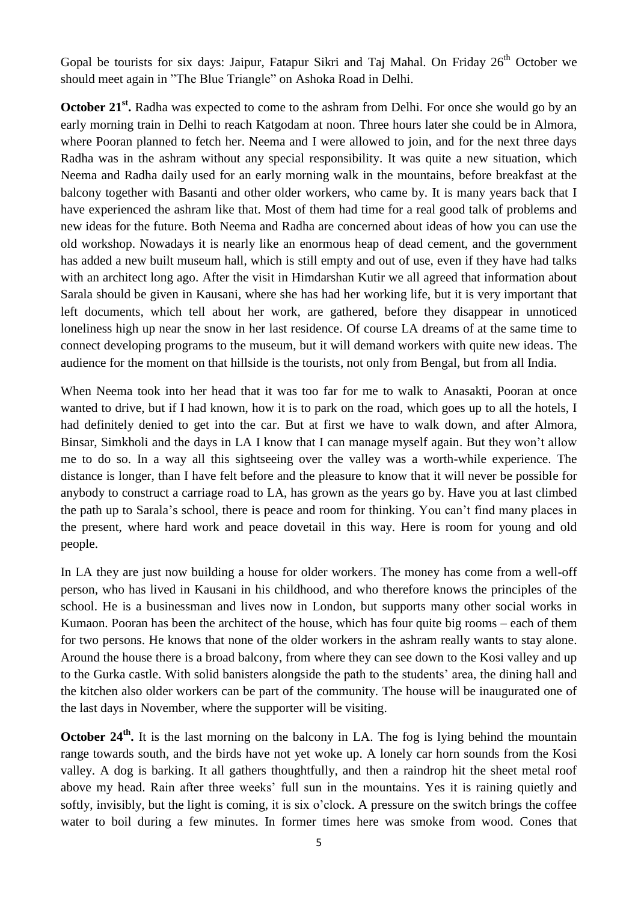Gopal be tourists for six days: Jaipur, Fatapur Sikri and Taj Mahal. On Friday  $26<sup>th</sup>$  October we should meet again in "The Blue Triangle" on Ashoka Road in Delhi.

**October 21<sup>st</sup>**. Radha was expected to come to the ashram from Delhi. For once she would go by an early morning train in Delhi to reach Katgodam at noon. Three hours later she could be in Almora, where Pooran planned to fetch her. Neema and I were allowed to join, and for the next three days Radha was in the ashram without any special responsibility. It was quite a new situation, which Neema and Radha daily used for an early morning walk in the mountains, before breakfast at the balcony together with Basanti and other older workers, who came by. It is many years back that I have experienced the ashram like that. Most of them had time for a real good talk of problems and new ideas for the future. Both Neema and Radha are concerned about ideas of how you can use the old workshop. Nowadays it is nearly like an enormous heap of dead cement, and the government has added a new built museum hall, which is still empty and out of use, even if they have had talks with an architect long ago. After the visit in Himdarshan Kutir we all agreed that information about Sarala should be given in Kausani, where she has had her working life, but it is very important that left documents, which tell about her work, are gathered, before they disappear in unnoticed loneliness high up near the snow in her last residence. Of course LA dreams of at the same time to connect developing programs to the museum, but it will demand workers with quite new ideas. The audience for the moment on that hillside is the tourists, not only from Bengal, but from all India.

When Neema took into her head that it was too far for me to walk to Anasakti, Pooran at once wanted to drive, but if I had known, how it is to park on the road, which goes up to all the hotels, I had definitely denied to get into the car. But at first we have to walk down, and after Almora, Binsar, Simkholi and the days in LA I know that I can manage myself again. But they won't allow me to do so. In a way all this sightseeing over the valley was a worth-while experience. The distance is longer, than I have felt before and the pleasure to know that it will never be possible for anybody to construct a carriage road to LA, has grown as the years go by. Have you at last climbed the path up to Sarala's school, there is peace and room for thinking. You can't find many places in the present, where hard work and peace dovetail in this way. Here is room for young and old people.

In LA they are just now building a house for older workers. The money has come from a well-off person, who has lived in Kausani in his childhood, and who therefore knows the principles of the school. He is a businessman and lives now in London, but supports many other social works in Kumaon. Pooran has been the architect of the house, which has four quite big rooms – each of them for two persons. He knows that none of the older workers in the ashram really wants to stay alone. Around the house there is a broad balcony, from where they can see down to the Kosi valley and up to the Gurka castle. With solid banisters alongside the path to the students' area, the dining hall and the kitchen also older workers can be part of the community. The house will be inaugurated one of the last days in November, where the supporter will be visiting.

**October 24<sup>th</sup>**. It is the last morning on the balcony in LA. The fog is lying behind the mountain range towards south, and the birds have not yet woke up. A lonely car horn sounds from the Kosi valley. A dog is barking. It all gathers thoughtfully, and then a raindrop hit the sheet metal roof above my head. Rain after three weeks' full sun in the mountains. Yes it is raining quietly and softly, invisibly, but the light is coming, it is six o'clock. A pressure on the switch brings the coffee water to boil during a few minutes. In former times here was smoke from wood. Cones that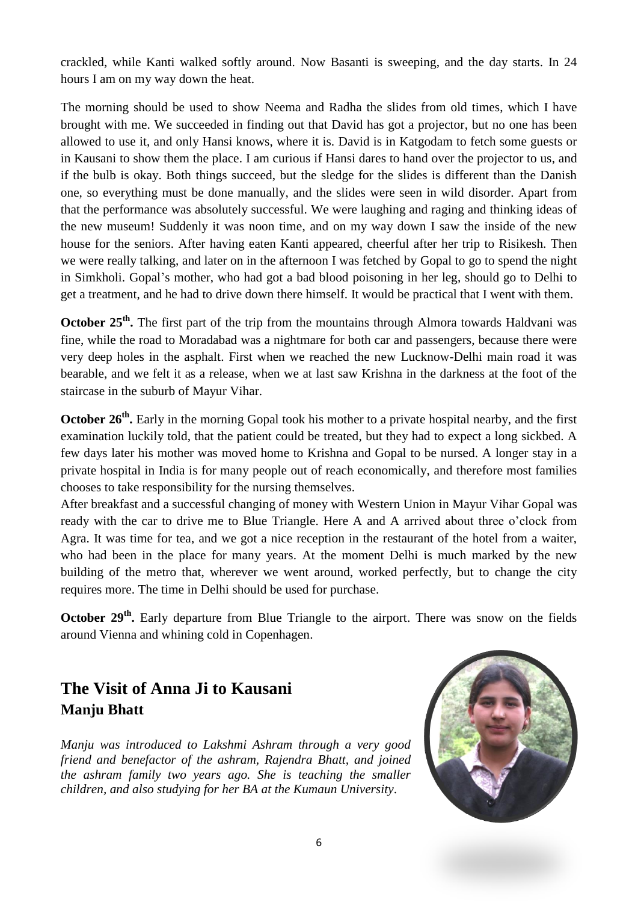crackled, while Kanti walked softly around. Now Basanti is sweeping, and the day starts. In 24 hours I am on my way down the heat.

The morning should be used to show Neema and Radha the slides from old times, which I have brought with me. We succeeded in finding out that David has got a projector, but no one has been allowed to use it, and only Hansi knows, where it is. David is in Katgodam to fetch some guests or in Kausani to show them the place. I am curious if Hansi dares to hand over the projector to us, and if the bulb is okay. Both things succeed, but the sledge for the slides is different than the Danish one, so everything must be done manually, and the slides were seen in wild disorder. Apart from that the performance was absolutely successful. We were laughing and raging and thinking ideas of the new museum! Suddenly it was noon time, and on my way down I saw the inside of the new house for the seniors. After having eaten Kanti appeared, cheerful after her trip to Risikesh. Then we were really talking, and later on in the afternoon I was fetched by Gopal to go to spend the night in Simkholi. Gopal's mother, who had got a bad blood poisoning in her leg, should go to Delhi to get a treatment, and he had to drive down there himself. It would be practical that I went with them.

**October 25<sup>th</sup>**. The first part of the trip from the mountains through Almora towards Haldvani was fine, while the road to Moradabad was a nightmare for both car and passengers, because there were very deep holes in the asphalt. First when we reached the new Lucknow-Delhi main road it was bearable, and we felt it as a release, when we at last saw Krishna in the darkness at the foot of the staircase in the suburb of Mayur Vihar.

**October 26<sup>th</sup>**. Early in the morning Gopal took his mother to a private hospital nearby, and the first examination luckily told, that the patient could be treated, but they had to expect a long sickbed. A few days later his mother was moved home to Krishna and Gopal to be nursed. A longer stay in a private hospital in India is for many people out of reach economically, and therefore most families chooses to take responsibility for the nursing themselves.

After breakfast and a successful changing of money with Western Union in Mayur Vihar Gopal was ready with the car to drive me to Blue Triangle. Here A and A arrived about three o'clock from Agra. It was time for tea, and we got a nice reception in the restaurant of the hotel from a waiter, who had been in the place for many years. At the moment Delhi is much marked by the new building of the metro that, wherever we went around, worked perfectly, but to change the city requires more. The time in Delhi should be used for purchase.

**October 29<sup>th</sup>**. Early departure from Blue Triangle to the airport. There was snow on the fields around Vienna and whining cold in Copenhagen.

## **The Visit of Anna Ji to Kausani Manju Bhatt**

*Manju was introduced to Lakshmi Ashram through a very good friend and benefactor of the ashram, Rajendra Bhatt, and joined the ashram family two years ago. She is teaching the smaller children, and also studying for her BA at the Kumaun University*.

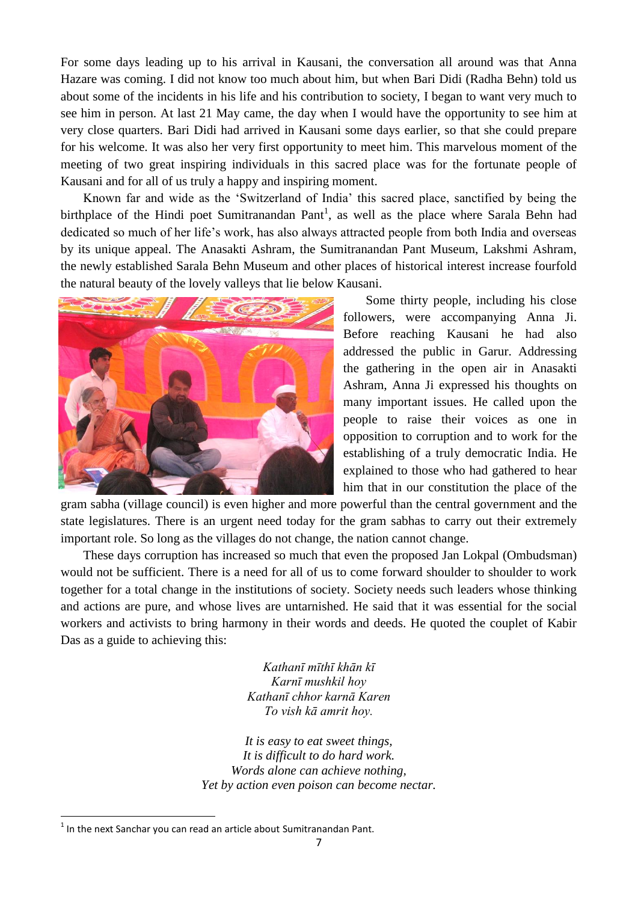For some days leading up to his arrival in Kausani, the conversation all around was that Anna Hazare was coming. I did not know too much about him, but when Bari Didi (Radha Behn) told us about some of the incidents in his life and his contribution to society, I began to want very much to see him in person. At last 21 May came, the day when I would have the opportunity to see him at very close quarters. Bari Didi had arrived in Kausani some days earlier, so that she could prepare for his welcome. It was also her very first opportunity to meet him. This marvelous moment of the meeting of two great inspiring individuals in this sacred place was for the fortunate people of Kausani and for all of us truly a happy and inspiring moment.

 Known far and wide as the 'Switzerland of India' this sacred place, sanctified by being the birthplace of the Hindi poet Sumitranandan Pant<sup>1</sup>, as well as the place where Sarala Behn had dedicated so much of her life's work, has also always attracted people from both India and overseas by its unique appeal. The Anasakti Ashram, the Sumitranandan Pant Museum, Lakshmi Ashram, the newly established Sarala Behn Museum and other places of historical interest increase fourfold the natural beauty of the lovely valleys that lie below Kausani.



 Some thirty people, including his close followers, were accompanying Anna Ji. Before reaching Kausani he had also addressed the public in Garur. Addressing the gathering in the open air in Anasakti Ashram, Anna Ji expressed his thoughts on many important issues. He called upon the people to raise their voices as one in opposition to corruption and to work for the establishing of a truly democratic India. He explained to those who had gathered to hear him that in our constitution the place of the

gram sabha (village council) is even higher and more powerful than the central government and the state legislatures. There is an urgent need today for the gram sabhas to carry out their extremely important role. So long as the villages do not change, the nation cannot change.

 These days corruption has increased so much that even the proposed Jan Lokpal (Ombudsman) would not be sufficient. There is a need for all of us to come forward shoulder to shoulder to work together for a total change in the institutions of society. Society needs such leaders whose thinking and actions are pure, and whose lives are untarnished. He said that it was essential for the social workers and activists to bring harmony in their words and deeds. He quoted the couplet of Kabir Das as a guide to achieving this:

> *Kathanī mīthī khān kī Karnī mushkil hoy Kathanī chhor karnā Karen To vish kā amrit hoy.*

*It is easy to eat sweet things, It is difficult to do hard work. Words alone can achieve nothing, Yet by action even poison can become nectar.*

**.** 

 $<sup>1</sup>$  In the next Sanchar you can read an article about Sumitranandan Pant.</sup>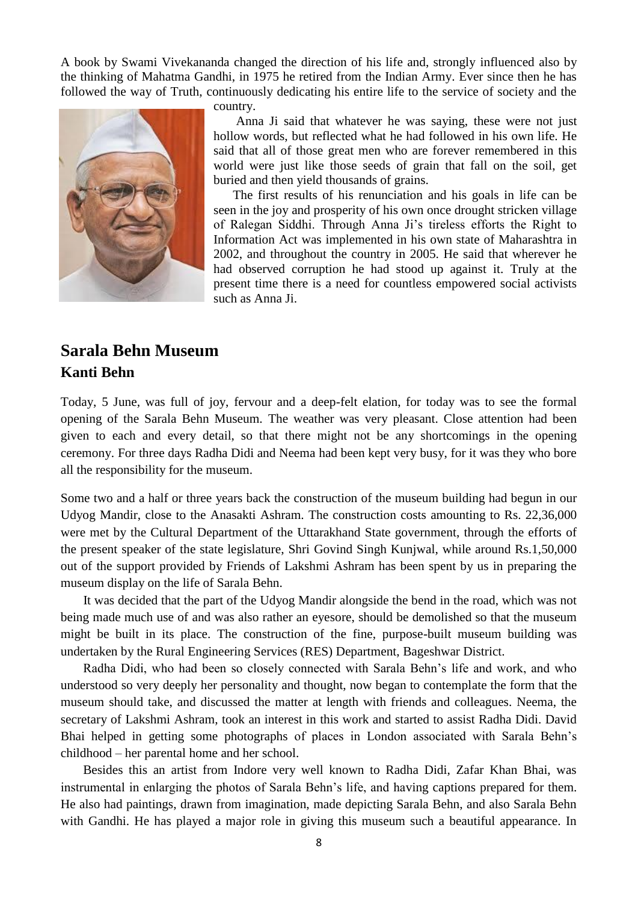A book by Swami Vivekananda changed the direction of his life and, strongly influenced also by the thinking of Mahatma Gandhi, in 1975 he retired from the Indian Army. Ever since then he has followed the way of Truth, continuously dedicating his entire life to the service of society and the



country.

 Anna Ji said that whatever he was saying, these were not just hollow words, but reflected what he had followed in his own life. He said that all of those great men who are forever remembered in this world were just like those seeds of grain that fall on the soil, get buried and then yield thousands of grains.

 The first results of his renunciation and his goals in life can be seen in the joy and prosperity of his own once drought stricken village of Ralegan Siddhi. Through Anna Ji's tireless efforts the Right to Information Act was implemented in his own state of Maharashtra in 2002, and throughout the country in 2005. He said that wherever he had observed corruption he had stood up against it. Truly at the present time there is a need for countless empowered social activists such as Anna Ji.

### **Sarala Behn Museum Kanti Behn**

Today, 5 June, was full of joy, fervour and a deep-felt elation, for today was to see the formal opening of the Sarala Behn Museum. The weather was very pleasant. Close attention had been given to each and every detail, so that there might not be any shortcomings in the opening ceremony. For three days Radha Didi and Neema had been kept very busy, for it was they who bore all the responsibility for the museum.

Some two and a half or three years back the construction of the museum building had begun in our Udyog Mandir, close to the Anasakti Ashram. The construction costs amounting to Rs. 22,36,000 were met by the Cultural Department of the Uttarakhand State government, through the efforts of the present speaker of the state legislature, Shri Govind Singh Kunjwal, while around Rs.1,50,000 out of the support provided by Friends of Lakshmi Ashram has been spent by us in preparing the museum display on the life of Sarala Behn.

 It was decided that the part of the Udyog Mandir alongside the bend in the road, which was not being made much use of and was also rather an eyesore, should be demolished so that the museum might be built in its place. The construction of the fine, purpose-built museum building was undertaken by the Rural Engineering Services (RES) Department, Bageshwar District.

 Radha Didi, who had been so closely connected with Sarala Behn's life and work, and who understood so very deeply her personality and thought, now began to contemplate the form that the museum should take, and discussed the matter at length with friends and colleagues. Neema, the secretary of Lakshmi Ashram, took an interest in this work and started to assist Radha Didi. David Bhai helped in getting some photographs of places in London associated with Sarala Behn's childhood – her parental home and her school.

 Besides this an artist from Indore very well known to Radha Didi, Zafar Khan Bhai, was instrumental in enlarging the photos of Sarala Behn's life, and having captions prepared for them. He also had paintings, drawn from imagination, made depicting Sarala Behn, and also Sarala Behn with Gandhi. He has played a major role in giving this museum such a beautiful appearance. In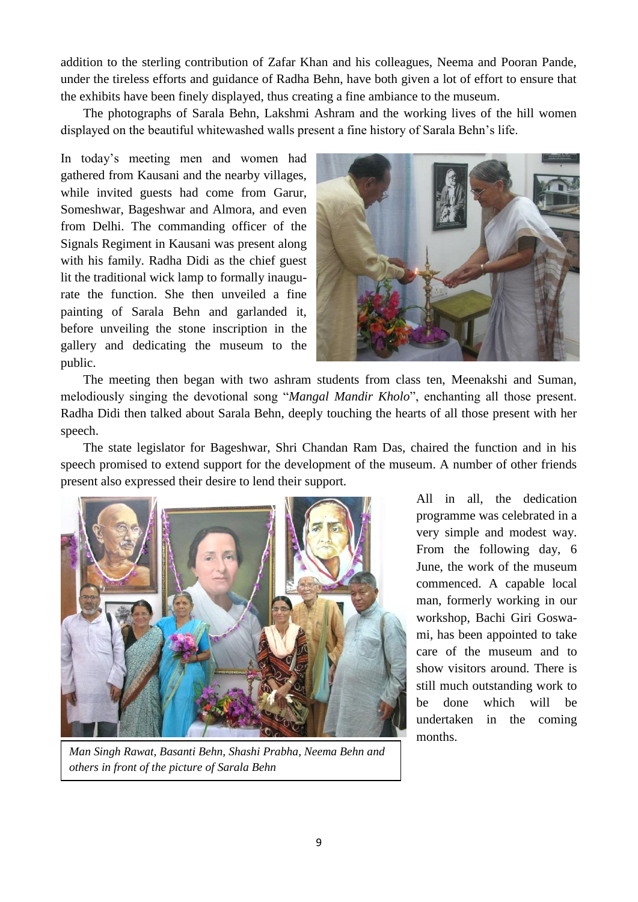addition to the sterling contribution of Zafar Khan and his colleagues, Neema and Pooran Pande, under the tireless efforts and guidance of Radha Behn, have both given a lot of effort to ensure that the exhibits have been finely displayed, thus creating a fine ambiance to the museum.

 The photographs of Sarala Behn, Lakshmi Ashram and the working lives of the hill women displayed on the beautiful whitewashed walls present a fine history of Sarala Behn's life.

In today's meeting men and women had gathered from Kausani and the nearby villages, while invited guests had come from Garur, Someshwar, Bageshwar and Almora, and even from Delhi. The commanding officer of the Signals Regiment in Kausani was present along with his family. Radha Didi as the chief guest lit the traditional wick lamp to formally inaugurate the function. She then unveiled a fine painting of Sarala Behn and garlanded it, before unveiling the stone inscription in the gallery and dedicating the museum to the public.



 The meeting then began with two ashram students from class ten, Meenakshi and Suman, melodiously singing the devotional song "*Mangal Mandir Kholo*", enchanting all those present. Radha Didi then talked about Sarala Behn, deeply touching the hearts of all those present with her speech.

 The state legislator for Bageshwar, Shri Chandan Ram Das, chaired the function and in his speech promised to extend support for the development of the museum. A number of other friends present also expressed their desire to lend their support.



*Man Singh Rawat, Basanti Behn, Shashi Prabha, Neema Behn and others in front of the picture of Sarala Behn*

All in all, the dedication programme was celebrated in a very simple and modest way. From the following day, 6 June, the work of the museum commenced. A capable local man, formerly working in our workshop, Bachi Giri Goswami, has been appointed to take care of the museum and to show visitors around. There is still much outstanding work to be done which will be undertaken in the coming months.